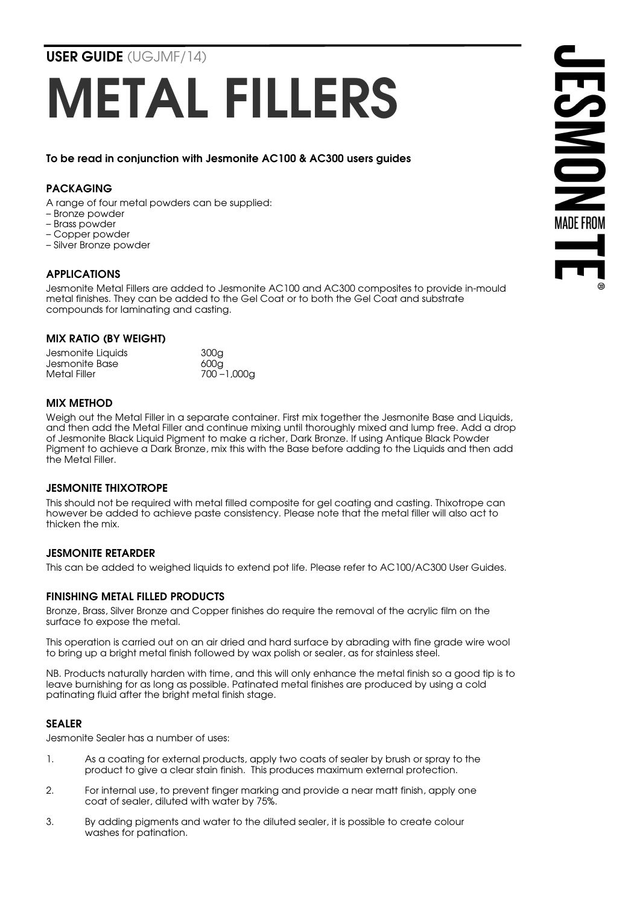USER GUIDE (UGJMF/14)

# METAL FILLERS

To be read in conjunction with Jesmonite AC100 & AC300 users guides

## PACKAGING

- A range of four metal powders can be supplied:
- Bronze powder
- Brass powder
- Copper powder
- Silver Bronze powder

# APPLICATIONS

Jesmonite Metal Fillers are added to Jesmonite AC100 and AC300 composites to provide in-mould metal finishes. They can be added to the Gel Coat or to both the Gel Coat and substrate compounds for laminating and casting.

#### MIX RATIO (BY WEIGHT)

| Jesmonite Liquids | 300 <sub>q</sub> |
|-------------------|------------------|
| Jesmonite Base    | 600a             |
| Metal Filler      | $700 - 1,000$ g  |

### MIX METHOD

Weigh out the Metal Filler in a separate container. First mix together the Jesmonite Base and Liquids, and then add the Metal Filler and continue mixing until thoroughly mixed and lump free. Add a drop of Jesmonite Black Liquid Pigment to make a richer, Dark Bronze. If using Antique Black Powder Pigment to achieve a Dark Bronze, mix this with the Base before adding to the Liquids and then add the Metal Filler.

### JESMONITE THIXOTROPE

This should not be required with metal filled composite for gel coating and casting. Thixotrope can however be added to achieve paste consistency. Please note that the metal filler will also act to thicken the mix.

### JESMONITE RETARDER

This can be added to weighed liquids to extend pot life. Please refer to AC100/AC300 User Guides.

### FINISHING METAL FILLED PRODUCTS

Bronze, Brass, Silver Bronze and Copper finishes do require the removal of the acrylic film on the surface to expose the metal.

This operation is carried out on an air dried and hard surface by abrading with fine grade wire wool to bring up a bright metal finish followed by wax polish or sealer, as for stainless steel.

NB. Products naturally harden with time, and this will only enhance the metal finish so a good tip is to leave burnishing for as long as possible. Patinated metal finishes are produced by using a cold patinating fluid after the bright metal finish stage.

### SEALER

Jesmonite Sealer has a number of uses:

- 1. As a coating for external products, apply two coats of sealer by brush or spray to the product to give a clear stain finish. This produces maximum external protection.
- 2. For internal use, to prevent finger marking and provide a near matt finish, apply one coat of sealer, diluted with water by 75%.
- 3. By adding pigments and water to the diluted sealer, it is possible to create colour washes for patination.